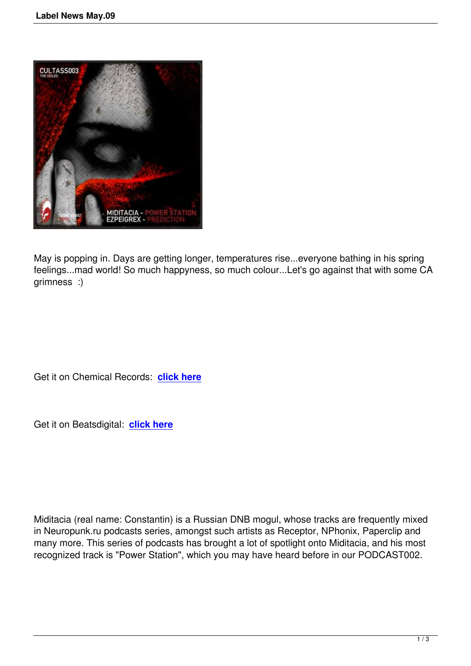

May is popping in. Days are getting longer, temperatures rise...everyone bathing in his spring feelings...mad world! So much happyness, so much colour...Let's go against that with some CA grimness :)

Get it on Chemical Records: **click here**

Get it on Beatsdigital: **click [here](http://www.chemical-records.co.uk/sc/downloadstore/release/7422)**

Miditacia (real name: Constantin) is a Russian DNB mogul, whose tracks are frequently mixed in Neuropunk.ru podcasts series, amongst such artists as Receptor, NPhonix, Paperclip and many more. This series of podcasts has brought a lot of spotlight onto Miditacia, and his most recognized track is "Power Station", which you may have heard before in our PODCAST002.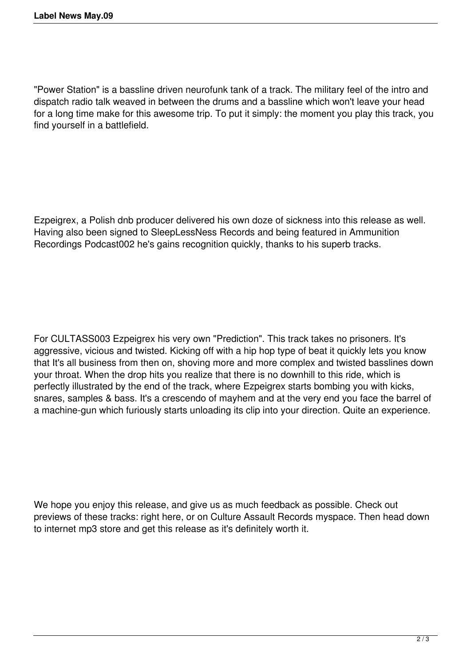"Power Station" is a bassline driven neurofunk tank of a track. The military feel of the intro and dispatch radio talk weaved in between the drums and a bassline which won't leave your head for a long time make for this awesome trip. To put it simply: the moment you play this track, you find yourself in a battlefield.

Ezpeigrex, a Polish dnb producer delivered his own doze of sickness into this release as well. Having also been signed to SleepLessNess Records and being featured in Ammunition Recordings Podcast002 he's gains recognition quickly, thanks to his superb tracks.

For CULTASS003 Ezpeigrex his very own "Prediction". This track takes no prisoners. It's aggressive, vicious and twisted. Kicking off with a hip hop type of beat it quickly lets you know that It's all business from then on, shoving more and more complex and twisted basslines down your throat. When the drop hits you realize that there is no downhill to this ride, which is perfectly illustrated by the end of the track, where Ezpeigrex starts bombing you with kicks, snares, samples & bass. It's a crescendo of mayhem and at the very end you face the barrel of a machine-gun which furiously starts unloading its clip into your direction. Quite an experience.

We hope you enjoy this release, and give us as much feedback as possible. Check out previews of these tracks: right here, or on Culture Assault Records myspace. Then head down to internet mp3 store and get this release as it's definitely worth it.